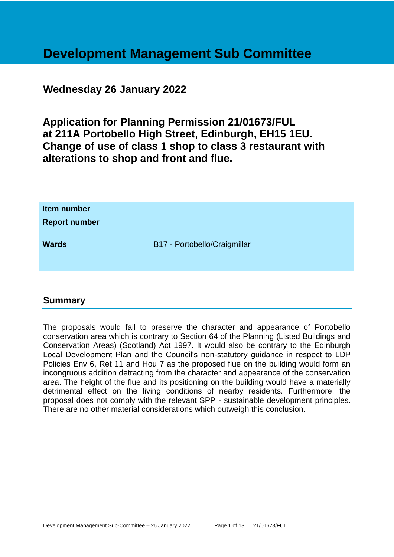# **Development Management Sub Committee**

### **Wednesday 26 January 2022**

**Application for Planning Permission 21/01673/FUL at 211A Portobello High Street, Edinburgh, EH15 1EU. Change of use of class 1 shop to class 3 restaurant with alterations to shop and front and flue.**

| Item number<br><b>Report number</b> |                              |
|-------------------------------------|------------------------------|
| <b>Wards</b>                        | B17 - Portobello/Craigmillar |

### **Summary**

The proposals would fail to preserve the character and appearance of Portobello conservation area which is contrary to Section 64 of the Planning (Listed Buildings and Conservation Areas) (Scotland) Act 1997. It would also be contrary to the Edinburgh Local Development Plan and the Council's non-statutory guidance in respect to LDP Policies Env 6, Ret 11 and Hou 7 as the proposed flue on the building would form an incongruous addition detracting from the character and appearance of the conservation area. The height of the flue and its positioning on the building would have a materially detrimental effect on the living conditions of nearby residents. Furthermore, the proposal does not comply with the relevant SPP - sustainable development principles. There are no other material considerations which outweigh this conclusion.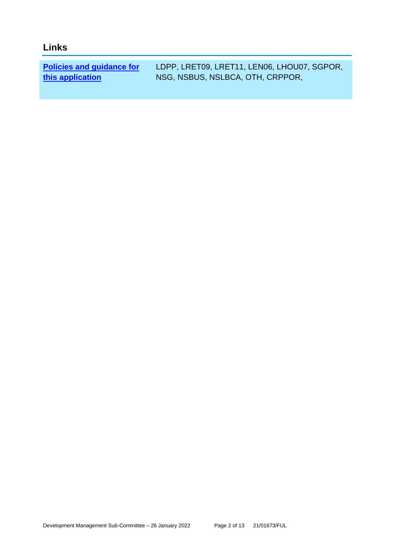### **Links**

**[Policies and guidance for](file:///C:/uniform/temp/uf04148.rtf%23Policies)  [this application](file:///C:/uniform/temp/uf04148.rtf%23Policies)**

LDPP, LRET09, LRET11, LEN06, LHOU07, SGPOR, NSG, NSBUS, NSLBCA, OTH, CRPPOR,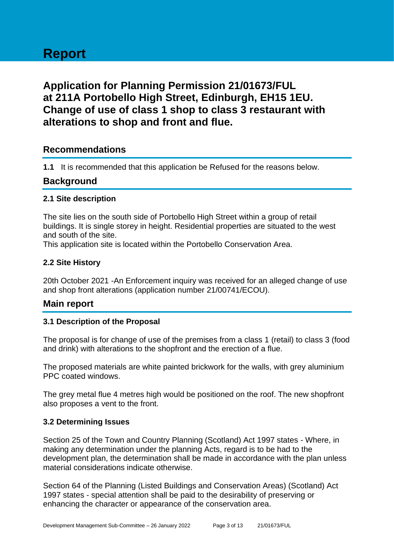## **Application for Planning Permission 21/01673/FUL at 211A Portobello High Street, Edinburgh, EH15 1EU. Change of use of class 1 shop to class 3 restaurant with alterations to shop and front and flue.**

### **Recommendations**

**1.1** It is recommended that this application be Refused for the reasons below.

### **Background**

### **2.1 Site description**

The site lies on the south side of Portobello High Street within a group of retail buildings. It is single storey in height. Residential properties are situated to the west and south of the site.

This application site is located within the Portobello Conservation Area.

### **2.2 Site History**

20th October 2021 -An Enforcement inquiry was received for an alleged change of use and shop front alterations (application number 21/00741/ECOU).

### **Main report**

### **3.1 Description of the Proposal**

The proposal is for change of use of the premises from a class 1 (retail) to class 3 (food and drink) with alterations to the shopfront and the erection of a flue.

The proposed materials are white painted brickwork for the walls, with grey aluminium PPC coated windows.

The grey metal flue 4 metres high would be positioned on the roof. The new shopfront also proposes a vent to the front.

### **3.2 Determining Issues**

Section 25 of the Town and Country Planning (Scotland) Act 1997 states - Where, in making any determination under the planning Acts, regard is to be had to the development plan, the determination shall be made in accordance with the plan unless material considerations indicate otherwise.

Section 64 of the Planning (Listed Buildings and Conservation Areas) (Scotland) Act 1997 states - special attention shall be paid to the desirability of preserving or enhancing the character or appearance of the conservation area.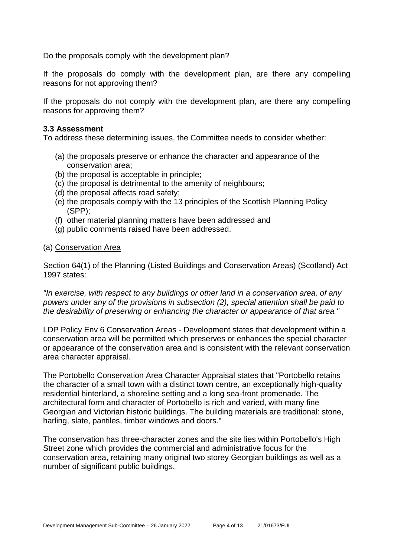Do the proposals comply with the development plan?

If the proposals do comply with the development plan, are there any compelling reasons for not approving them?

If the proposals do not comply with the development plan, are there any compelling reasons for approving them?

#### **3.3 Assessment**

To address these determining issues, the Committee needs to consider whether:

- (a) the proposals preserve or enhance the character and appearance of the conservation area;
- (b) the proposal is acceptable in principle;
- (c) the proposal is detrimental to the amenity of neighbours;
- (d) the proposal affects road safety;
- (e) the proposals comply with the 13 principles of the Scottish Planning Policy (SPP);
- (f) other material planning matters have been addressed and
- (g) public comments raised have been addressed.

#### (a) Conservation Area

Section 64(1) of the Planning (Listed Buildings and Conservation Areas) (Scotland) Act 1997 states:

*"In exercise, with respect to any buildings or other land in a conservation area, of any powers under any of the provisions in subsection (2), special attention shall be paid to the desirability of preserving or enhancing the character or appearance of that area."*

LDP Policy Env 6 Conservation Areas - Development states that development within a conservation area will be permitted which preserves or enhances the special character or appearance of the conservation area and is consistent with the relevant conservation area character appraisal.

The Portobello Conservation Area Character Appraisal states that "Portobello retains the character of a small town with a distinct town centre, an exceptionally high-quality residential hinterland, a shoreline setting and a long sea-front promenade. The architectural form and character of Portobello is rich and varied, with many fine Georgian and Victorian historic buildings. The building materials are traditional: stone, harling, slate, pantiles, timber windows and doors."

The conservation has three-character zones and the site lies within Portobello's High Street zone which provides the commercial and administrative focus for the conservation area, retaining many original two storey Georgian buildings as well as a number of significant public buildings.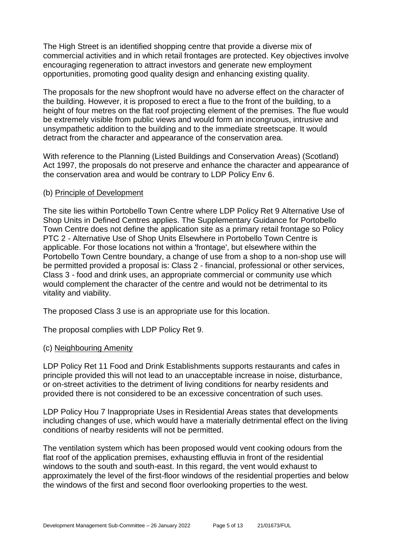The High Street is an identified shopping centre that provide a diverse mix of commercial activities and in which retail frontages are protected. Key objectives involve encouraging regeneration to attract investors and generate new employment opportunities, promoting good quality design and enhancing existing quality.

The proposals for the new shopfront would have no adverse effect on the character of the building. However, it is proposed to erect a flue to the front of the building, to a height of four metres on the flat roof projecting element of the premises. The flue would be extremely visible from public views and would form an incongruous, intrusive and unsympathetic addition to the building and to the immediate streetscape. It would detract from the character and appearance of the conservation area.

With reference to the Planning (Listed Buildings and Conservation Areas) (Scotland) Act 1997, the proposals do not preserve and enhance the character and appearance of the conservation area and would be contrary to LDP Policy Env 6.

#### (b) Principle of Development

The site lies within Portobello Town Centre where LDP Policy Ret 9 Alternative Use of Shop Units in Defined Centres applies. The Supplementary Guidance for Portobello Town Centre does not define the application site as a primary retail frontage so Policy PTC 2 - Alternative Use of Shop Units Elsewhere in Portobello Town Centre is applicable. For those locations not within a 'frontage', but elsewhere within the Portobello Town Centre boundary, a change of use from a shop to a non-shop use will be permitted provided a proposal is: Class 2 - financial, professional or other services, Class 3 - food and drink uses, an appropriate commercial or community use which would complement the character of the centre and would not be detrimental to its vitality and viability.

The proposed Class 3 use is an appropriate use for this location.

The proposal complies with LDP Policy Ret 9.

### (c) Neighbouring Amenity

LDP Policy Ret 11 Food and Drink Establishments supports restaurants and cafes in principle provided this will not lead to an unacceptable increase in noise, disturbance, or on-street activities to the detriment of living conditions for nearby residents and provided there is not considered to be an excessive concentration of such uses.

LDP Policy Hou 7 Inappropriate Uses in Residential Areas states that developments including changes of use, which would have a materially detrimental effect on the living conditions of nearby residents will not be permitted.

The ventilation system which has been proposed would vent cooking odours from the flat roof of the application premises, exhausting effluvia in front of the residential windows to the south and south-east. In this regard, the vent would exhaust to approximately the level of the first-floor windows of the residential properties and below the windows of the first and second floor overlooking properties to the west.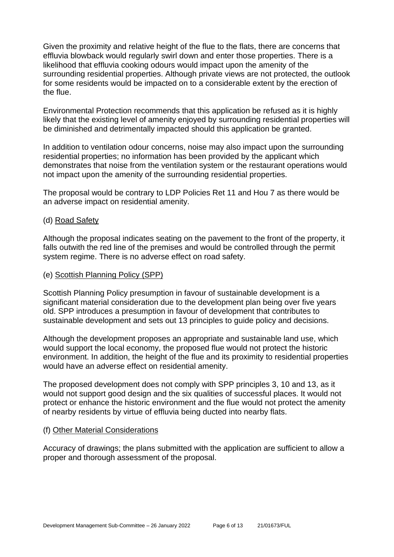Given the proximity and relative height of the flue to the flats, there are concerns that effluvia blowback would regularly swirl down and enter those properties. There is a likelihood that effluvia cooking odours would impact upon the amenity of the surrounding residential properties. Although private views are not protected, the outlook for some residents would be impacted on to a considerable extent by the erection of the flue.

Environmental Protection recommends that this application be refused as it is highly likely that the existing level of amenity enjoyed by surrounding residential properties will be diminished and detrimentally impacted should this application be granted.

In addition to ventilation odour concerns, noise may also impact upon the surrounding residential properties; no information has been provided by the applicant which demonstrates that noise from the ventilation system or the restaurant operations would not impact upon the amenity of the surrounding residential properties.

The proposal would be contrary to LDP Policies Ret 11 and Hou 7 as there would be an adverse impact on residential amenity.

### (d) Road Safety

Although the proposal indicates seating on the pavement to the front of the property, it falls outwith the red line of the premises and would be controlled through the permit system regime. There is no adverse effect on road safety.

#### (e) Scottish Planning Policy (SPP)

Scottish Planning Policy presumption in favour of sustainable development is a significant material consideration due to the development plan being over five years old. SPP introduces a presumption in favour of development that contributes to sustainable development and sets out 13 principles to guide policy and decisions.

Although the development proposes an appropriate and sustainable land use, which would support the local economy, the proposed flue would not protect the historic environment. In addition, the height of the flue and its proximity to residential properties would have an adverse effect on residential amenity.

The proposed development does not comply with SPP principles 3, 10 and 13, as it would not support good design and the six qualities of successful places. It would not protect or enhance the historic environment and the flue would not protect the amenity of nearby residents by virtue of effluvia being ducted into nearby flats.

#### (f) Other Material Considerations

Accuracy of drawings; the plans submitted with the application are sufficient to allow a proper and thorough assessment of the proposal.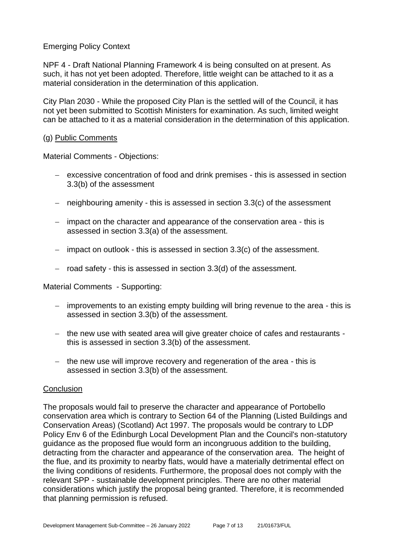Emerging Policy Context

NPF 4 - Draft National Planning Framework 4 is being consulted on at present. As such, it has not yet been adopted. Therefore, little weight can be attached to it as a material consideration in the determination of this application.

City Plan 2030 - While the proposed City Plan is the settled will of the Council, it has not yet been submitted to Scottish Ministers for examination. As such, limited weight can be attached to it as a material consideration in the determination of this application.

#### (g) Public Comments

Material Comments - Objections:

- − excessive concentration of food and drink premises this is assessed in section 3.3(b) of the assessment
- − neighbouring amenity this is assessed in section 3.3(c) of the assessment
- − impact on the character and appearance of the conservation area this is assessed in section 3.3(a) of the assessment.
- − impact on outlook this is assessed in section 3.3(c) of the assessment.
- − road safety this is assessed in section 3.3(d) of the assessment.

Material Comments - Supporting:

- − improvements to an existing empty building will bring revenue to the area this is assessed in section 3.3(b) of the assessment.
- − the new use with seated area will give greater choice of cafes and restaurants this is assessed in section 3.3(b) of the assessment.
- − the new use will improve recovery and regeneration of the area this is assessed in section 3.3(b) of the assessment.

### **Conclusion**

The proposals would fail to preserve the character and appearance of Portobello conservation area which is contrary to Section 64 of the Planning (Listed Buildings and Conservation Areas) (Scotland) Act 1997. The proposals would be contrary to LDP Policy Env 6 of the Edinburgh Local Development Plan and the Council's non-statutory guidance as the proposed flue would form an incongruous addition to the building, detracting from the character and appearance of the conservation area. The height of the flue, and its proximity to nearby flats, would have a materially detrimental effect on the living conditions of residents. Furthermore, the proposal does not comply with the relevant SPP - sustainable development principles. There are no other material considerations which justify the proposal being granted. Therefore, it is recommended that planning permission is refused.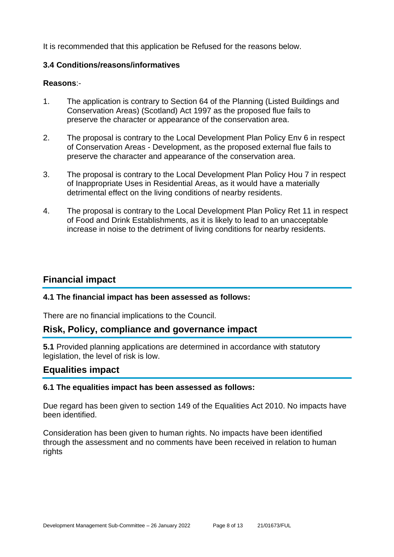It is recommended that this application be Refused for the reasons below.

### **3.4 Conditions/reasons/informatives**

### **Reasons**:-

- 1. The application is contrary to Section 64 of the Planning (Listed Buildings and Conservation Areas) (Scotland) Act 1997 as the proposed flue fails to preserve the character or appearance of the conservation area.
- 2. The proposal is contrary to the Local Development Plan Policy Env 6 in respect of Conservation Areas - Development, as the proposed external flue fails to preserve the character and appearance of the conservation area.
- 3. The proposal is contrary to the Local Development Plan Policy Hou 7 in respect of Inappropriate Uses in Residential Areas, as it would have a materially detrimental effect on the living conditions of nearby residents.
- 4. The proposal is contrary to the Local Development Plan Policy Ret 11 in respect of Food and Drink Establishments, as it is likely to lead to an unacceptable increase in noise to the detriment of living conditions for nearby residents.

### **Financial impact**

### **4.1 The financial impact has been assessed as follows:**

There are no financial implications to the Council.

### **Risk, Policy, compliance and governance impact**

**5.1** Provided planning applications are determined in accordance with statutory legislation, the level of risk is low.

### **Equalities impact**

### **6.1 The equalities impact has been assessed as follows:**

Due regard has been given to section 149 of the Equalities Act 2010. No impacts have been identified.

Consideration has been given to human rights. No impacts have been identified through the assessment and no comments have been received in relation to human rights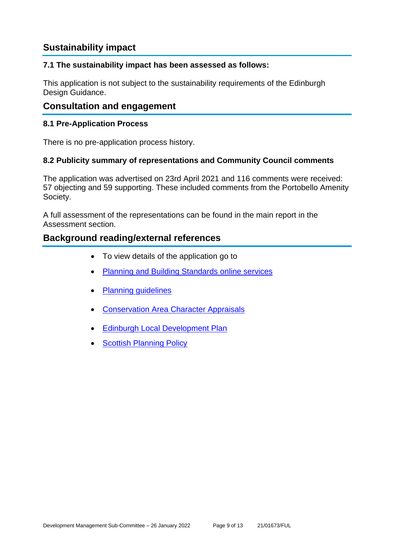### **Sustainability impact**

### **7.1 The sustainability impact has been assessed as follows:**

This application is not subject to the sustainability requirements of the Edinburgh Design Guidance.

### **Consultation and engagement**

### **8.1 Pre-Application Process**

There is no pre-application process history.

### **8.2 Publicity summary of representations and Community Council comments**

The application was advertised on 23rd April 2021 and 116 comments were received: 57 objecting and 59 supporting. These included comments from the Portobello Amenity Society.

A full assessment of the representations can be found in the main report in the Assessment section.

### **Background reading/external references**

- To view details of the application go to
- [Planning and Building Standards online services](https://citydev-portal.edinburgh.gov.uk/idoxpa-web/search.do?action=simple&searchType=Application)
- [Planning guidelines](http://www.edinburgh.gov.uk/planningguidelines)
- [Conservation Area Character Appraisals](http://www.edinburgh.gov.uk/characterappraisals)
- [Edinburgh Local Development Plan](http://www.edinburgh.gov.uk/localdevelopmentplan)
- **[Scottish Planning Policy](http://www.scotland.gov.uk/Topics/Built-Environment/planning/Policy)**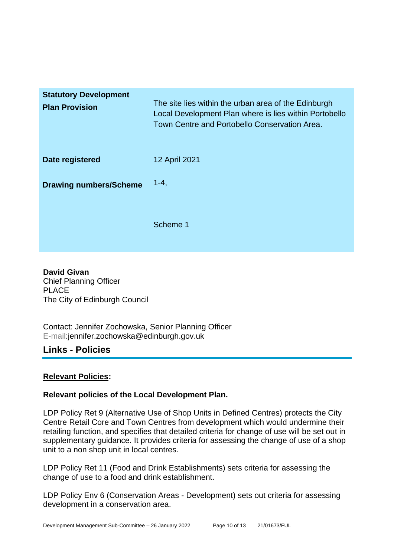| <b>Statutory Development</b><br><b>Plan Provision</b> | The site lies within the urban area of the Edinburgh<br>Local Development Plan where is lies within Portobello<br>Town Centre and Portobello Conservation Area. |
|-------------------------------------------------------|-----------------------------------------------------------------------------------------------------------------------------------------------------------------|
| Date registered                                       | 12 April 2021                                                                                                                                                   |
| <b>Drawing numbers/Scheme</b>                         | $1 - 4$ ,                                                                                                                                                       |
|                                                       | Scheme 1                                                                                                                                                        |

**David Givan** Chief Planning Officer PLACE The City of Edinburgh Council

Contact: Jennifer Zochowska, Senior Planning Officer E-mail:jennifer.zochowska@edinburgh.gov.uk

### **Links - Policies**

### **Relevant Policies:**

### **Relevant policies of the Local Development Plan.**

LDP Policy Ret 9 (Alternative Use of Shop Units in Defined Centres) protects the City Centre Retail Core and Town Centres from development which would undermine their retailing function, and specifies that detailed criteria for change of use will be set out in supplementary guidance. It provides criteria for assessing the change of use of a shop unit to a non shop unit in local centres.

LDP Policy Ret 11 (Food and Drink Establishments) sets criteria for assessing the change of use to a food and drink establishment.

LDP Policy Env 6 (Conservation Areas - Development) sets out criteria for assessing development in a conservation area.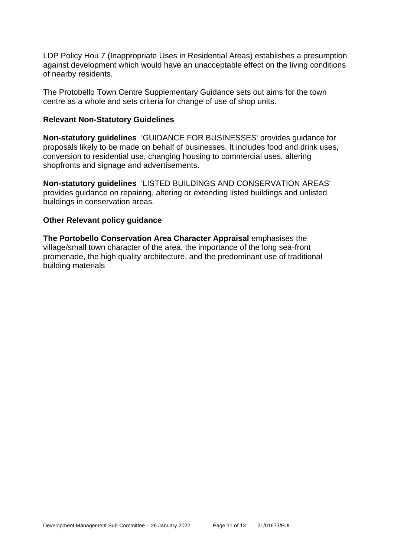LDP Policy Hou 7 (Inappropriate Uses in Residential Areas) establishes a presumption against development which would have an unacceptable effect on the living conditions of nearby residents.

The Protobello Town Centre Supplementary Guidance sets out aims for the town centre as a whole and sets criteria for change of use of shop units.

#### **Relevant Non-Statutory Guidelines**

**Non-statutory guidelines** 'GUIDANCE FOR BUSINESSES' provides guidance for proposals likely to be made on behalf of businesses. It includes food and drink uses, conversion to residential use, changing housing to commercial uses, altering shopfronts and signage and advertisements.

**Non-statutory guidelines** 'LISTED BUILDINGS AND CONSERVATION AREAS' provides guidance on repairing, altering or extending listed buildings and unlisted buildings in conservation areas.

### **Other Relevant policy guidance**

**The Portobello Conservation Area Character Appraisal** emphasises the village/small town character of the area, the importance of the long sea-front promenade, the high quality architecture, and the predominant use of traditional building materials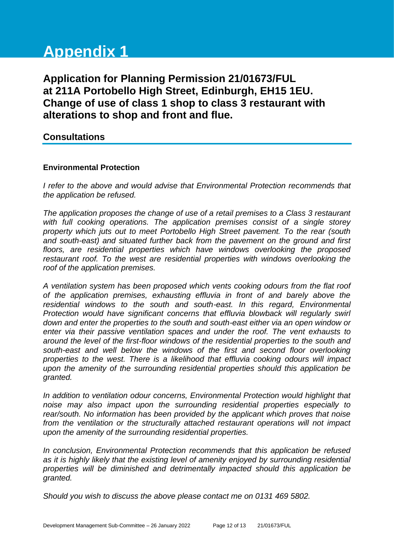# **Appendix 1**

**Application for Planning Permission 21/01673/FUL at 211A Portobello High Street, Edinburgh, EH15 1EU. Change of use of class 1 shop to class 3 restaurant with alterations to shop and front and flue.**

### **Consultations**

### **Environmental Protection**

*I refer to the above and would advise that Environmental Protection recommends that the application be refused.*

*The application proposes the change of use of a retail premises to a Class 3 restaurant with full cooking operations. The application premises consist of a single storey property which juts out to meet Portobello High Street pavement. To the rear (south and south-east) and situated further back from the pavement on the ground and first floors, are residential properties which have windows overlooking the proposed*  restaurant roof. To the west are residential properties with windows overlooking the *roof of the application premises.* 

*A ventilation system has been proposed which vents cooking odours from the flat roof of the application premises, exhausting effluvia in front of and barely above the residential windows to the south and south-east. In this regard, Environmental Protection would have significant concerns that effluvia blowback will regularly swirl down and enter the properties to the south and south-east either via an open window or enter via their passive ventilation spaces and under the roof. The vent exhausts to around the level of the first-floor windows of the residential properties to the south and south-east and well below the windows of the first and second floor overlooking properties to the west. There is a likelihood that effluvia cooking odours will impact upon the amenity of the surrounding residential properties should this application be granted.* 

*In addition to ventilation odour concerns, Environmental Protection would highlight that noise may also impact upon the surrounding residential properties especially to rear/south. No information has been provided by the applicant which proves that noise from the ventilation or the structurally attached restaurant operations will not impact upon the amenity of the surrounding residential properties.*

*In conclusion, Environmental Protection recommends that this application be refused as it is highly likely that the existing level of amenity enjoyed by surrounding residential properties will be diminished and detrimentally impacted should this application be granted.*

*Should you wish to discuss the above please contact me on 0131 469 5802.*